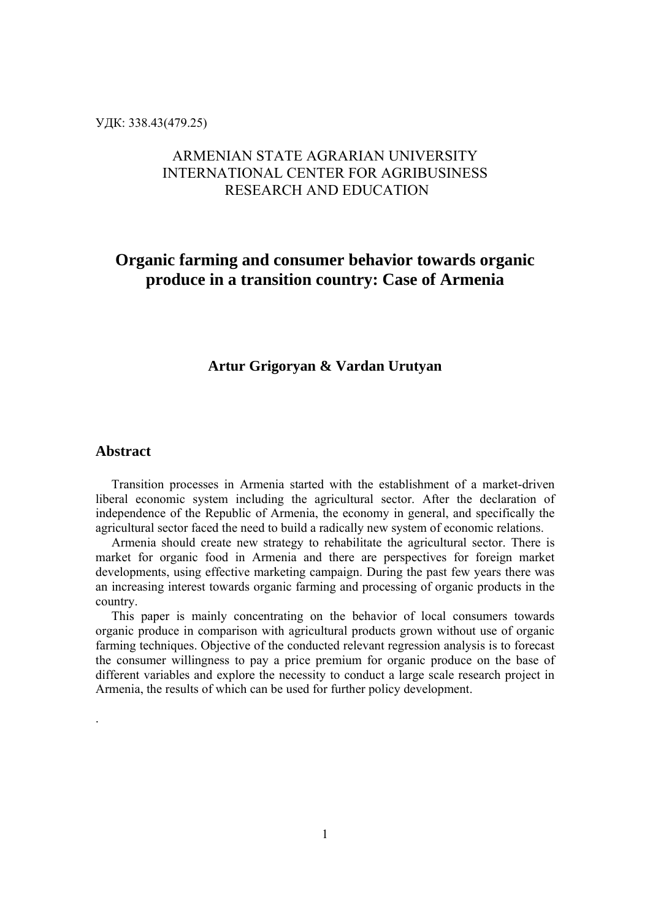УДК: 338.43(479.25)

# ARMENIAN STATE AGRARIAN UNIVERSITY INTERNATIONAL CENTER FOR AGRIBUSINESS RESEARCH AND EDUCATION

# **Organic farming and consumer behavior towards organic produce in a transition country: Case of Armenia**

## **Artur Grigoryan & Vardan Urutyan**

### **Abstract**

.

 Transition processes in Armenia started with the establishment of a market-driven liberal economic system including the agricultural sector. After the declaration of independence of the Republic of Armenia, the economy in general, and specifically the agricultural sector faced the need to build a radically new system of economic relations.

 Armenia should create new strategy to rehabilitate the agricultural sector. There is market for organic food in Armenia and there are perspectives for foreign market developments, using effective marketing campaign. During the past few years there was an increasing interest towards organic farming and processing of organic products in the country.

 This paper is mainly concentrating on the behavior of local consumers towards organic produce in comparison with agricultural products grown without use of organic farming techniques. Objective of the conducted relevant regression analysis is to forecast the consumer willingness to pay a price premium for organic produce on the base of different variables and explore the necessity to conduct a large scale research project in Armenia, the results of which can be used for further policy development.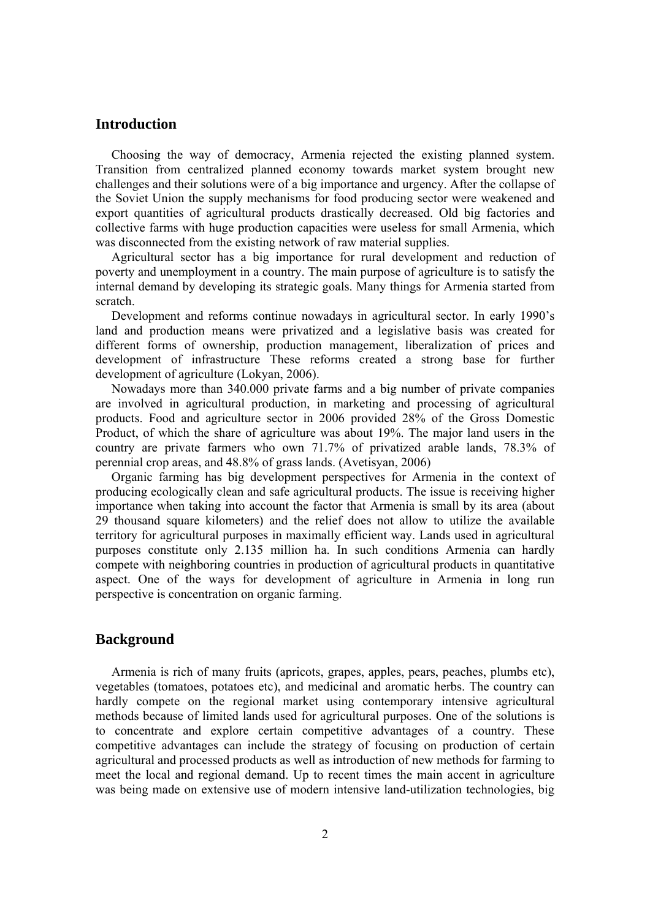### **Introduction**

 Choosing the way of democracy, Armenia rejected the existing planned system. Transition from centralized planned economy towards market system brought new challenges and their solutions were of a big importance and urgency. After the collapse of the Soviet Union the supply mechanisms for food producing sector were weakened and export quantities of agricultural products drastically decreased. Old big factories and collective farms with huge production capacities were useless for small Armenia, which was disconnected from the existing network of raw material supplies.

 Agricultural sector has a big importance for rural development and reduction of poverty and unemployment in a country. The main purpose of agriculture is to satisfy the internal demand by developing its strategic goals. Many things for Armenia started from scratch.

 Development and reforms continue nowadays in agricultural sector. In early 1990's land and production means were privatized and a legislative basis was created for different forms of ownership, production management, liberalization of prices and development of infrastructure These reforms created a strong base for further development of agriculture (Lokyan, 2006).

 Nowadays more than 340.000 private farms and a big number of private companies are involved in agricultural production, in marketing and processing of agricultural products. Food and agriculture sector in 2006 provided 28% of the Gross Domestic Product, of which the share of agriculture was about 19%. The major land users in the country are private farmers who own 71.7% of privatized arable lands, 78.3% of perennial crop areas, and 48.8% of grass lands. (Avetisyan, 2006)

 Organic farming has big development perspectives for Armenia in the context of producing ecologically clean and safe agricultural products. The issue is receiving higher importance when taking into account the factor that Armenia is small by its area (about 29 thousand square kilometers) and the relief does not allow to utilize the available territory for agricultural purposes in maximally efficient way. Lands used in agricultural purposes constitute only 2.135 million ha. In such conditions Armenia can hardly compete with neighboring countries in production of agricultural products in quantitative aspect. One of the ways for development of agriculture in Armenia in long run perspective is concentration on organic farming.

### **Background**

 Armenia is rich of many fruits (apricots, grapes, apples, pears, peaches, plumbs etc), vegetables (tomatoes, potatoes etc), and medicinal and aromatic herbs. The country can hardly compete on the regional market using contemporary intensive agricultural methods because of limited lands used for agricultural purposes. One of the solutions is to concentrate and explore certain competitive advantages of a country. These competitive advantages can include the strategy of focusing on production of certain agricultural and processed products as well as introduction of new methods for farming to meet the local and regional demand. Up to recent times the main accent in agriculture was being made on extensive use of modern intensive land-utilization technologies, big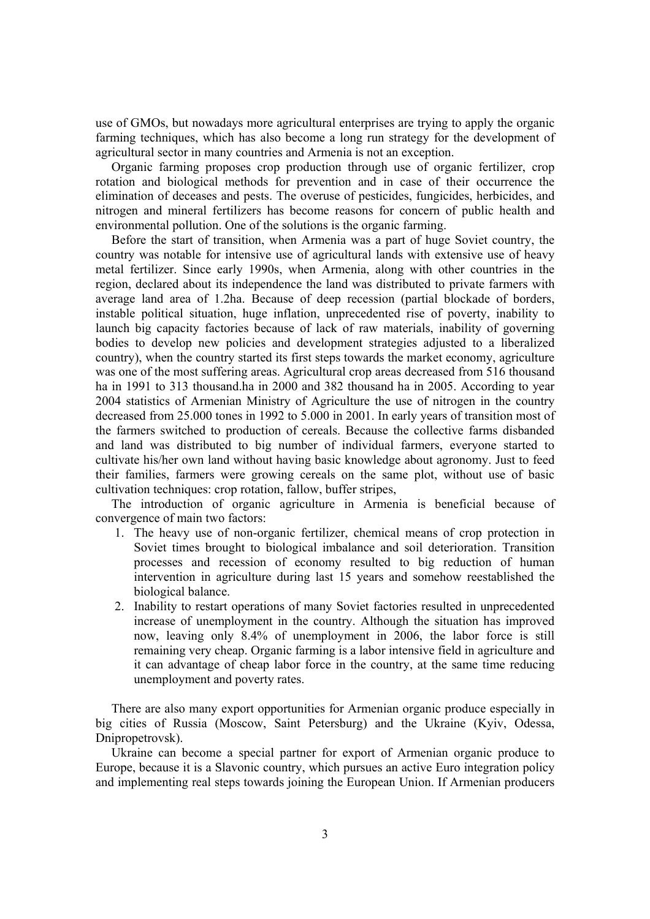use of GMOs, but nowadays more agricultural enterprises are trying to apply the organic farming techniques, which has also become a long run strategy for the development of agricultural sector in many countries and Armenia is not an exception.

 Organic farming proposes crop production through use of organic fertilizer, crop rotation and biological methods for prevention and in case of their occurrence the elimination of deceases and pests. The overuse of pesticides, fungicides, herbicides, and nitrogen and mineral fertilizers has become reasons for concern of public health and environmental pollution. One of the solutions is the organic farming.

 Before the start of transition, when Armenia was a part of huge Soviet country, the country was notable for intensive use of agricultural lands with extensive use of heavy metal fertilizer. Since early 1990s, when Armenia, along with other countries in the region, declared about its independence the land was distributed to private farmers with average land area of 1.2ha. Because of deep recession (partial blockade of borders, instable political situation, huge inflation, unprecedented rise of poverty, inability to launch big capacity factories because of lack of raw materials, inability of governing bodies to develop new policies and development strategies adjusted to a liberalized country), when the country started its first steps towards the market economy, agriculture was one of the most suffering areas. Agricultural crop areas decreased from 516 thousand ha in 1991 to 313 thousand.ha in 2000 and 382 thousand ha in 2005. According to year 2004 statistics of Armenian Ministry of Agriculture the use of nitrogen in the country decreased from 25.000 tones in 1992 to 5.000 in 2001. In early years of transition most of the farmers switched to production of cereals. Because the collective farms disbanded and land was distributed to big number of individual farmers, everyone started to cultivate his/her own land without having basic knowledge about agronomy. Just to feed their families, farmers were growing cereals on the same plot, without use of basic cultivation techniques: crop rotation, fallow, buffer stripes,

 The introduction of organic agriculture in Armenia is beneficial because of convergence of main two factors:

- 1. The heavy use of non-organic fertilizer, chemical means of crop protection in Soviet times brought to biological imbalance and soil deterioration. Transition processes and recession of economy resulted to big reduction of human intervention in agriculture during last 15 years and somehow reestablished the biological balance.
- 2. Inability to restart operations of many Soviet factories resulted in unprecedented increase of unemployment in the country. Although the situation has improved now, leaving only 8.4% of unemployment in 2006, the labor force is still remaining very cheap. Organic farming is a labor intensive field in agriculture and it can advantage of cheap labor force in the country, at the same time reducing unemployment and poverty rates.

 There are also many export opportunities for Armenian organic produce especially in big cities of Russia (Moscow, Saint Petersburg) and the Ukraine (Kyiv, Odessa, Dnipropetrovsk).

 Ukraine can become a special partner for export of Armenian organic produce to Europe, because it is a Slavonic country, which pursues an active Euro integration policy and implementing real steps towards joining the European Union. If Armenian producers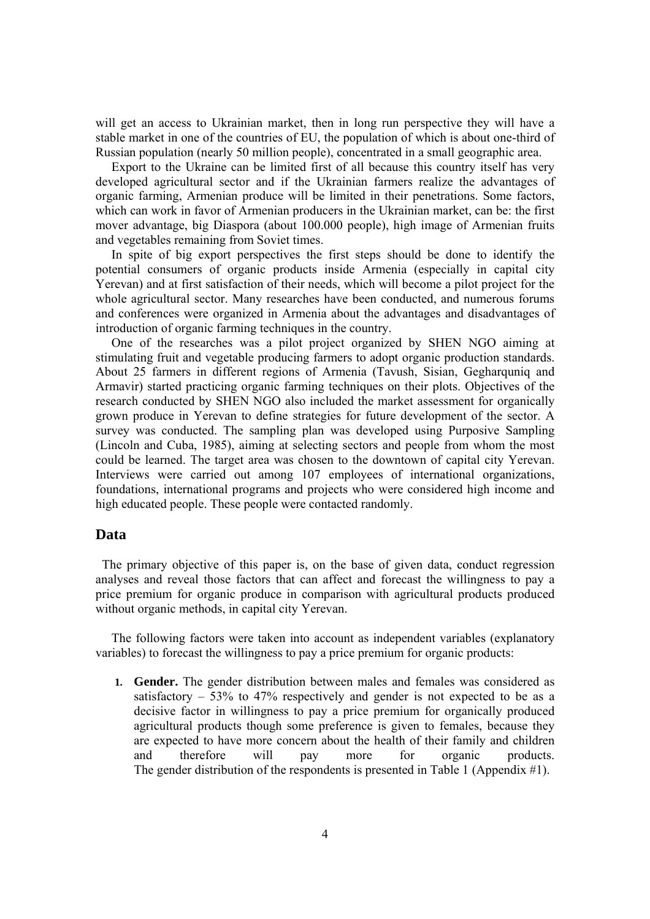will get an access to Ukrainian market, then in long run perspective they will have a stable market in one of the countries of EU, the population of which is about one-third of Russian population (nearly 50 million people), concentrated in a small geographic area.

 Export to the Ukraine can be limited first of all because this country itself has very developed agricultural sector and if the Ukrainian farmers realize the advantages of organic farming, Armenian produce will be limited in their penetrations. Some factors, which can work in favor of Armenian producers in the Ukrainian market, can be: the first mover advantage, big Diaspora (about 100.000 people), high image of Armenian fruits and vegetables remaining from Soviet times.

 In spite of big export perspectives the first steps should be done to identify the potential consumers of organic products inside Armenia (especially in capital city Yerevan) and at first satisfaction of their needs, which will become a pilot project for the whole agricultural sector. Many researches have been conducted, and numerous forums and conferences were organized in Armenia about the advantages and disadvantages of introduction of organic farming techniques in the country.

 One of the researches was a pilot project organized by SHEN NGO aiming at stimulating fruit and vegetable producing farmers to adopt organic production standards. About 25 farmers in different regions of Armenia (Tavush, Sisian, Gegharquniq and Armavir) started practicing organic farming techniques on their plots. Objectives of the research conducted by SHEN NGO also included the market assessment for organically grown produce in Yerevan to define strategies for future development of the sector. A survey was conducted. The sampling plan was developed using Purposive Sampling (Lincoln and Cuba, 1985), aiming at selecting sectors and people from whom the most could be learned. The target area was chosen to the downtown of capital city Yerevan. Interviews were carried out among 107 employees of international organizations, foundations, international programs and projects who were considered high income and high educated people. These people were contacted randomly.

### **Data**

 The primary objective of this paper is, on the base of given data, conduct regression analyses and reveal those factors that can affect and forecast the willingness to pay a price premium for organic produce in comparison with agricultural products produced without organic methods, in capital city Yerevan.

 The following factors were taken into account as independent variables (explanatory variables) to forecast the willingness to pay a price premium for organic products:

**1. Gender.** The gender distribution between males and females was considered as satisfactory  $-53\%$  to 47% respectively and gender is not expected to be as a decisive factor in willingness to pay a price premium for organically produced agricultural products though some preference is given to females, because they are expected to have more concern about the health of their family and children and therefore will pay more for organic products. The gender distribution of the respondents is presented in Table 1 (Appendix #1).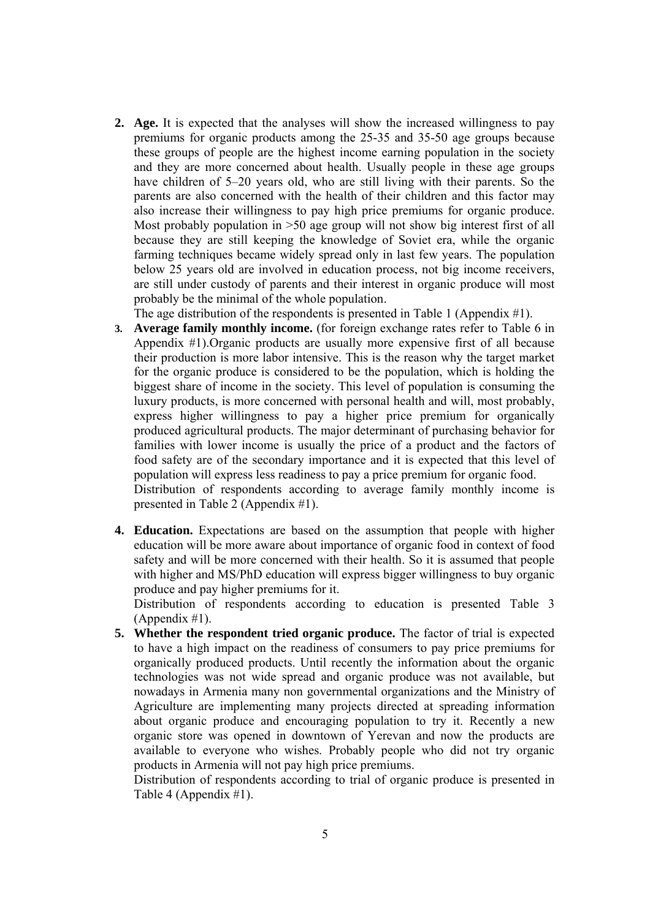**2. Age.** It is expected that the analyses will show the increased willingness to pay premiums for organic products among the 25-35 and 35-50 age groups because these groups of people are the highest income earning population in the society and they are more concerned about health. Usually people in these age groups have children of 5–20 years old, who are still living with their parents. So the parents are also concerned with the health of their children and this factor may also increase their willingness to pay high price premiums for organic produce. Most probably population in >50 age group will not show big interest first of all because they are still keeping the knowledge of Soviet era, while the organic farming techniques became widely spread only in last few years. The population below 25 years old are involved in education process, not big income receivers, are still under custody of parents and their interest in organic produce will most probably be the minimal of the whole population.

The age distribution of the respondents is presented in Table 1 (Appendix #1).

- **3. Average family monthly income.** (for foreign exchange rates refer to Table 6 in Appendix #1).Organic products are usually more expensive first of all because their production is more labor intensive. This is the reason why the target market for the organic produce is considered to be the population, which is holding the biggest share of income in the society. This level of population is consuming the luxury products, is more concerned with personal health and will, most probably, express higher willingness to pay a higher price premium for organically produced agricultural products. The major determinant of purchasing behavior for families with lower income is usually the price of a product and the factors of food safety are of the secondary importance and it is expected that this level of population will express less readiness to pay a price premium for organic food. Distribution of respondents according to average family monthly income is presented in Table 2 (Appendix #1).
- **4. Education.** Expectations are based on the assumption that people with higher education will be more aware about importance of organic food in context of food safety and will be more concerned with their health. So it is assumed that people with higher and MS/PhD education will express bigger willingness to buy organic produce and pay higher premiums for it.

Distribution of respondents according to education is presented Table 3 (Appendix #1).

**5. Whether the respondent tried organic produce.** The factor of trial is expected to have a high impact on the readiness of consumers to pay price premiums for organically produced products. Until recently the information about the organic technologies was not wide spread and organic produce was not available, but nowadays in Armenia many non governmental organizations and the Ministry of Agriculture are implementing many projects directed at spreading information about organic produce and encouraging population to try it. Recently a new organic store was opened in downtown of Yerevan and now the products are available to everyone who wishes. Probably people who did not try organic products in Armenia will not pay high price premiums.

Distribution of respondents according to trial of organic produce is presented in Table 4 (Appendix #1).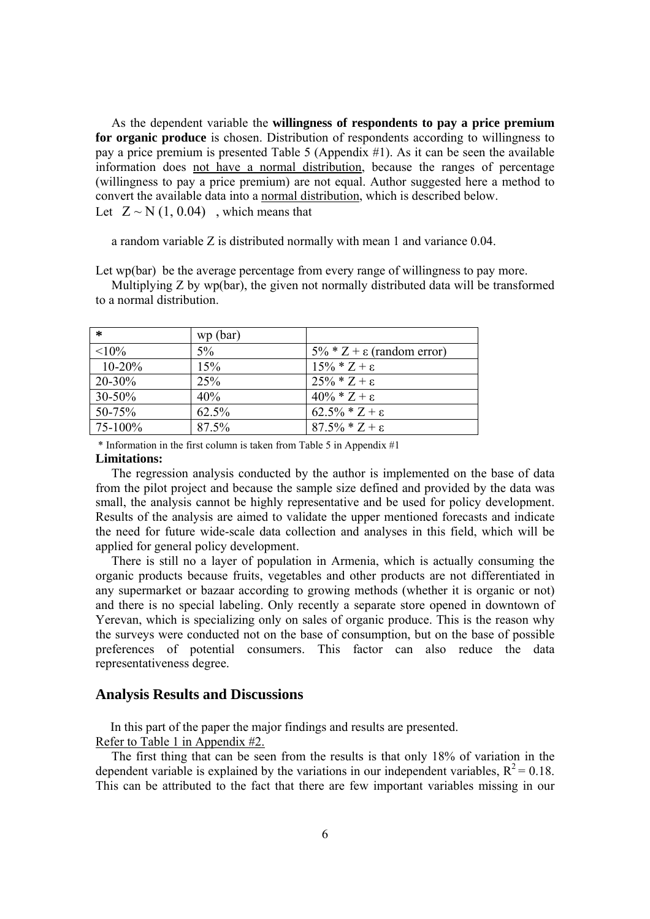As the dependent variable the **willingness of respondents to pay a price premium for organic produce** is chosen. Distribution of respondents according to willingness to pay a price premium is presented Table 5 (Appendix  $\#1$ ). As it can be seen the available information does not have a normal distribution, because the ranges of percentage (willingness to pay a price premium) are not equal. Author suggested here a method to convert the available data into a normal distribution, which is described below. Let  $Z \sim N(1, 0.04)$ , which means that

a random variable Z is distributed normally with mean 1 and variance 0.04.

Let wp(bar) be the average percentage from every range of willingness to pay more.

 Multiplying Z by wp(bar), the given not normally distributed data will be transformed to a normal distribution.

| $\ast$      | wp (bar) |                                     |
|-------------|----------|-------------------------------------|
| $< 10\%$    | $5\%$    | $5\% * Z + \epsilon$ (random error) |
| $10 - 20%$  | 15%      | $15\% * Z + \epsilon$               |
| $20 - 30\%$ | 25%      | $25\% * Z + \epsilon$               |
| $30 - 50\%$ | 40%      | $40\% * Z + \epsilon$               |
| 50-75%      | 62.5%    | $62.5\% * Z + \epsilon$             |
| 75-100%     | 87.5%    | $87.5\% * Z + \epsilon$             |

 $*$  Information in the first column is taken from Table 5 in Appendix  $\#1$ 

#### **Limitations:**

The regression analysis conducted by the author is implemented on the base of data from the pilot project and because the sample size defined and provided by the data was small, the analysis cannot be highly representative and be used for policy development. Results of the analysis are aimed to validate the upper mentioned forecasts and indicate the need for future wide-scale data collection and analyses in this field, which will be applied for general policy development.

 There is still no a layer of population in Armenia, which is actually consuming the organic products because fruits, vegetables and other products are not differentiated in any supermarket or bazaar according to growing methods (whether it is organic or not) and there is no special labeling. Only recently a separate store opened in downtown of Yerevan, which is specializing only on sales of organic produce. This is the reason why the surveys were conducted not on the base of consumption, but on the base of possible preferences of potential consumers. This factor can also reduce the data representativeness degree.

#### **Analysis Results and Discussions**

In this part of the paper the major findings and results are presented.

Refer to Table 1 in Appendix #2.

 The first thing that can be seen from the results is that only 18% of variation in the dependent variable is explained by the variations in our independent variables,  $R^2 = 0.18$ . This can be attributed to the fact that there are few important variables missing in our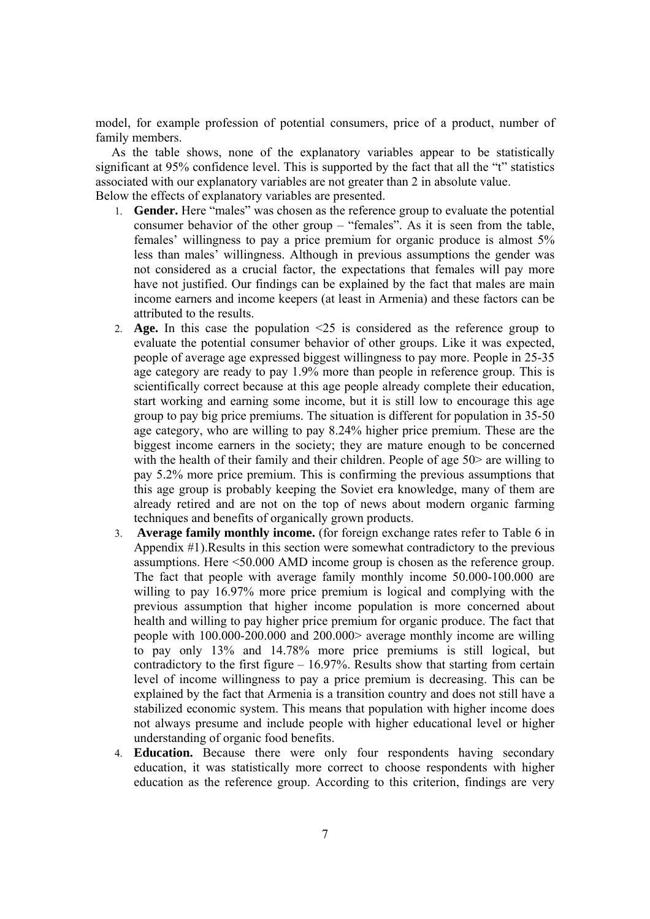model, for example profession of potential consumers, price of a product, number of family members.

 As the table shows, none of the explanatory variables appear to be statistically significant at 95% confidence level. This is supported by the fact that all the "t" statistics associated with our explanatory variables are not greater than 2 in absolute value. Below the effects of explanatory variables are presented.

- 1. **Gender.** Here "males" was chosen as the reference group to evaluate the potential consumer behavior of the other group – "females". As it is seen from the table, females' willingness to pay a price premium for organic produce is almost 5% less than males' willingness. Although in previous assumptions the gender was not considered as a crucial factor, the expectations that females will pay more have not justified. Our findings can be explained by the fact that males are main income earners and income keepers (at least in Armenia) and these factors can be attributed to the results.
- 2. **Age.** In this case the population <25 is considered as the reference group to evaluate the potential consumer behavior of other groups. Like it was expected, people of average age expressed biggest willingness to pay more. People in 25-35 age category are ready to pay 1.9% more than people in reference group. This is scientifically correct because at this age people already complete their education, start working and earning some income, but it is still low to encourage this age group to pay big price premiums. The situation is different for population in 35-50 age category, who are willing to pay 8.24% higher price premium. These are the biggest income earners in the society; they are mature enough to be concerned with the health of their family and their children. People of age 50 are willing to pay 5.2% more price premium. This is confirming the previous assumptions that this age group is probably keeping the Soviet era knowledge, many of them are already retired and are not on the top of news about modern organic farming techniques and benefits of organically grown products.
- 3. **Average family monthly income.** (for foreign exchange rates refer to Table 6 in Appendix #1).Results in this section were somewhat contradictory to the previous assumptions. Here <50.000 AMD income group is chosen as the reference group. The fact that people with average family monthly income 50.000-100.000 are willing to pay 16.97% more price premium is logical and complying with the previous assumption that higher income population is more concerned about health and willing to pay higher price premium for organic produce. The fact that people with 100.000-200.000 and 200.000> average monthly income are willing to pay only 13% and 14.78% more price premiums is still logical, but contradictory to the first figure  $-16.97\%$ . Results show that starting from certain level of income willingness to pay a price premium is decreasing. This can be explained by the fact that Armenia is a transition country and does not still have a stabilized economic system. This means that population with higher income does not always presume and include people with higher educational level or higher understanding of organic food benefits.
- 4. **Education.** Because there were only four respondents having secondary education, it was statistically more correct to choose respondents with higher education as the reference group. According to this criterion, findings are very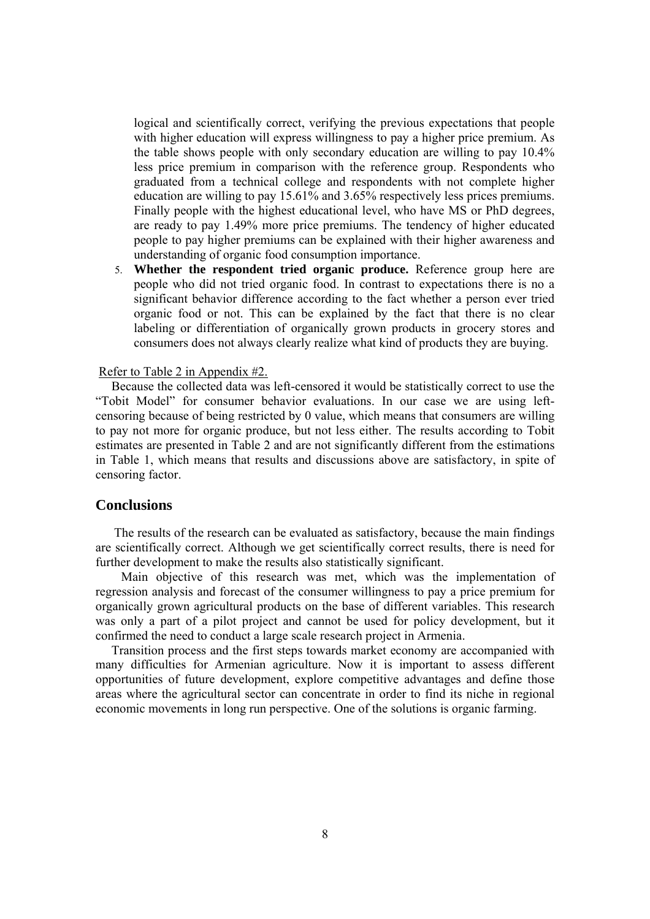logical and scientifically correct, verifying the previous expectations that people with higher education will express willingness to pay a higher price premium. As the table shows people with only secondary education are willing to pay 10.4% less price premium in comparison with the reference group. Respondents who graduated from a technical college and respondents with not complete higher education are willing to pay 15.61% and 3.65% respectively less prices premiums. Finally people with the highest educational level, who have MS or PhD degrees, are ready to pay 1.49% more price premiums. The tendency of higher educated people to pay higher premiums can be explained with their higher awareness and understanding of organic food consumption importance.

5. **Whether the respondent tried organic produce.** Reference group here are people who did not tried organic food. In contrast to expectations there is no a significant behavior difference according to the fact whether a person ever tried organic food or not. This can be explained by the fact that there is no clear labeling or differentiation of organically grown products in grocery stores and consumers does not always clearly realize what kind of products they are buying.

#### Refer to Table 2 in Appendix #2.

 Because the collected data was left-censored it would be statistically correct to use the "Tobit Model" for consumer behavior evaluations. In our case we are using leftcensoring because of being restricted by 0 value, which means that consumers are willing to pay not more for organic produce, but not less either. The results according to Tobit estimates are presented in Table 2 and are not significantly different from the estimations in Table 1, which means that results and discussions above are satisfactory, in spite of censoring factor.

### **Conclusions**

The results of the research can be evaluated as satisfactory, because the main findings are scientifically correct. Although we get scientifically correct results, there is need for further development to make the results also statistically significant.

 Main objective of this research was met, which was the implementation of regression analysis and forecast of the consumer willingness to pay a price premium for organically grown agricultural products on the base of different variables. This research was only a part of a pilot project and cannot be used for policy development, but it confirmed the need to conduct a large scale research project in Armenia.

 Transition process and the first steps towards market economy are accompanied with many difficulties for Armenian agriculture. Now it is important to assess different opportunities of future development, explore competitive advantages and define those areas where the agricultural sector can concentrate in order to find its niche in regional economic movements in long run perspective. One of the solutions is organic farming.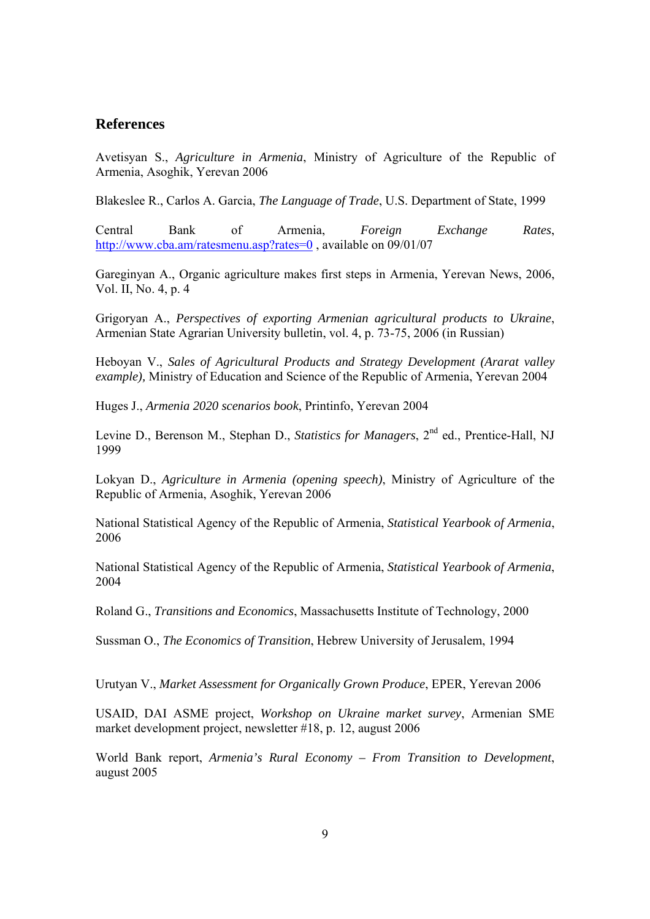### **References**

Avetisyan S., *Agriculture in Armenia*, Ministry of Agriculture of the Republic of Armenia, Asoghik, Yerevan 2006

Blakeslee R., Carlos A. Garcia, *The Language of Trade*, U.S. Department of State, 1999

Central Bank of Armenia, *Foreign Exchange Rates*, http://www.cba.am/ratesmenu.asp?rates=0 , available on 09/01/07

Gareginyan A., Organic agriculture makes first steps in Armenia, Yerevan News, 2006, Vol. II, No. 4, p. 4

Grigoryan A., *Perspectives of exporting Armenian agricultural products to Ukraine*, Armenian State Agrarian University bulletin, vol. 4, p. 73-75, 2006 (in Russian)

Heboyan V., *Sales of Agricultural Products and Strategy Development (Ararat valley example),* Ministry of Education and Science of the Republic of Armenia, Yerevan 2004

Huges J., *Armenia 2020 scenarios book*, Printinfo, Yerevan 2004

Levine D., Berenson M., Stephan D., *Statistics for Managers*, 2<sup>nd</sup> ed., Prentice-Hall, NJ 1999

Lokyan D., *Agriculture in Armenia (opening speech)*, Ministry of Agriculture of the Republic of Armenia, Asoghik, Yerevan 2006

National Statistical Agency of the Republic of Armenia, *Statistical Yearbook of Armenia*, 2006

National Statistical Agency of the Republic of Armenia, *Statistical Yearbook of Armenia*, 2004

Roland G., *Transitions and Economics*, Massachusetts Institute of Technology, 2000

Sussman O., *The Economics of Transition*, Hebrew University of Jerusalem, 1994

Urutyan V., *Market Assessment for Organically Grown Produce*, EPER, Yerevan 2006

USAID, DAI ASME project, *Workshop on Ukraine market survey*, Armenian SME market development project, newsletter #18, p. 12, august 2006

World Bank report, *Armenia's Rural Economy – From Transition to Development*, august 2005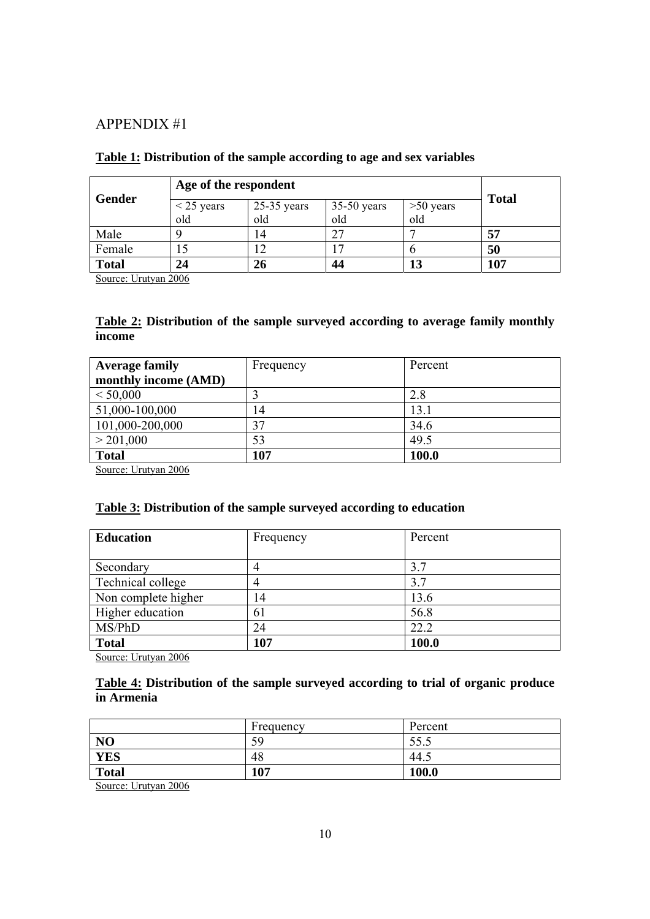## APPENDIX #1

| Gender       | Age of the respondent            |     |               |             |              |
|--------------|----------------------------------|-----|---------------|-------------|--------------|
|              | $25-35$ years<br>$\leq$ 25 years |     | $35-50$ years | $>50$ years | <b>Total</b> |
|              | old                              | old | old           | old         |              |
| Male         |                                  |     |               |             | 57           |
| Female       |                                  |     |               |             | 50           |
| <b>Total</b> | 24                               | 26  | 44            | 13          | 107          |

### **Table 1: Distribution of the sample according to age and sex variables**

Source: Urutyan 2006

### **Table 2: Distribution of the sample surveyed according to average family monthly income**

| <b>Average family</b>                                                      | Frequency | Percent |  |
|----------------------------------------------------------------------------|-----------|---------|--|
| monthly income (AMD)                                                       |           |         |  |
| < 50,000                                                                   |           | 2.8     |  |
| 51,000-100,000                                                             | 14        | 13.1    |  |
| 101,000-200,000                                                            | 37        | 34.6    |  |
| > 201,000                                                                  | 53        | 49.5    |  |
| <b>Total</b><br>$\alpha$ $\mathbf{r}$ $\mathbf{r}$<br>$\sim$ $\sim$ $\sim$ | 107       | 100.0   |  |

Source: Urutyan 2006

### **Table 3: Distribution of the sample surveyed according to education**

| <b>Education</b>    | Frequency | Percent |
|---------------------|-----------|---------|
| Secondary           | 4         | 3.7     |
| Technical college   | 4         | 3.7     |
| Non complete higher | 14        | 13.6    |
| Higher education    | 61        | 56.8    |
| MS/PhD              | 24        | 22.2    |
| <b>Total</b>        | 107       | 100.0   |

Source: Urutyan 2006

### **Table 4: Distribution of the sample surveyed according to trial of organic produce in Armenia**

|                                                          | Frequency | Percent |
|----------------------------------------------------------|-----------|---------|
| N <sub>O</sub>                                           | 59        | 33.3    |
| <b>YES</b>                                               | 48        | 44.1    |
| <b>Total</b>                                             | 107       | 100.0   |
| $ -$<br>-----<br>the property of the control of the con- |           |         |

Source: Urutyan 2006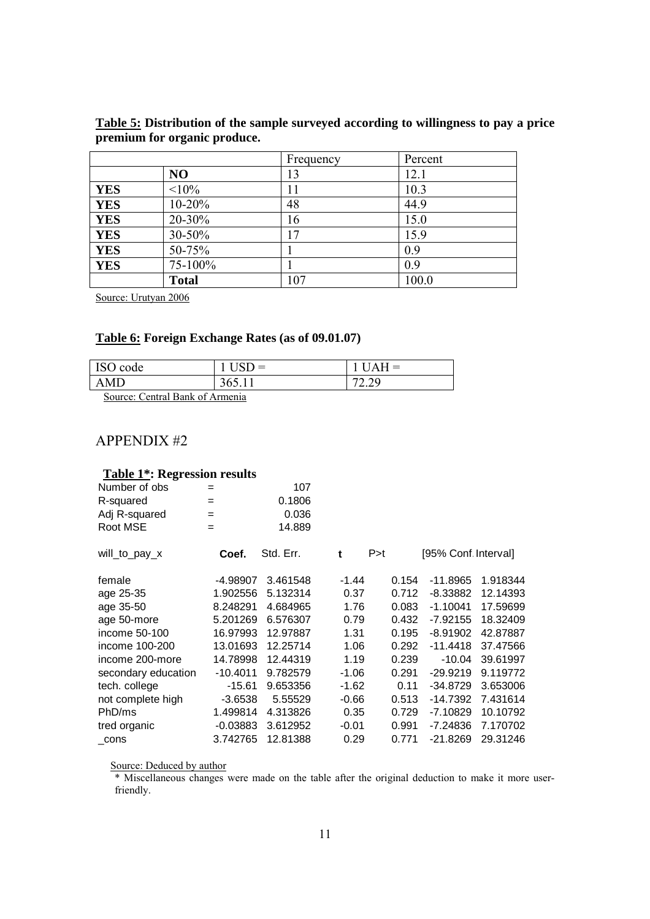|            |              | Frequency | Percent |
|------------|--------------|-----------|---------|
|            | NO           | 13        | 12.1    |
| <b>YES</b> | <10%         |           | 10.3    |
| <b>YES</b> | $10 - 20%$   | 48        | 44.9    |
| <b>YES</b> | 20-30%       | 16        | 15.0    |
| <b>YES</b> | $30 - 50\%$  | 17        | 15.9    |
| <b>YES</b> | 50-75%       |           | 0.9     |
| <b>YES</b> | 75-100%      |           | 0.9     |
|            | <b>Total</b> | 107       | 100.0   |

**Table 5: Distribution of the sample surveyed according to willingness to pay a price premium for organic produce.** 

Source: Urutyan 2006

### **Table 6: Foreign Exchange Rates (as of 09.01.07)**

| ISO code                                                                                         |        | $IIAH =$          |  |  |  |
|--------------------------------------------------------------------------------------------------|--------|-------------------|--|--|--|
| AMD.                                                                                             | 365.11 | 72.20<br>ر ہے . ک |  |  |  |
| $\Gamma_{\text{out}}$ $\Gamma_{\text{out}}$ $\Gamma_{\text{out}}$ $\Gamma_{\text{out}}$ $\Gamma$ |        |                   |  |  |  |

Source: Central Bank of Armenia

# APPENDIX #2

## **Table 1\*: Regression results**

| Number of obs       | $=$        | 107       |         |       |                      |          |
|---------------------|------------|-----------|---------|-------|----------------------|----------|
| R-squared           | $=$        | 0.1806    |         |       |                      |          |
| Adj R-squared       | $=$        | 0.036     |         |       |                      |          |
| Root MSE            | $=$        | 14.889    |         |       |                      |          |
| will_to_pay_x       | Coef.      | Std. Err. | t       | P > t | [95% Conf. Interval] |          |
| female              | -4.98907   | 3.461548  | -1.44   | 0.154 | $-11.8965$           | 1.918344 |
| age 25-35           | 1.902556   | 5.132314  | 0.37    | 0.712 | $-8.33882$           | 12.14393 |
| age 35-50           | 8.248291   | 4.684965  | 1.76    | 0.083 | $-1.10041$           | 17.59699 |
| age 50-more         | 5.201269   | 6.576307  | 0.79    | 0.432 | $-7.92155$           | 18.32409 |
| income 50-100       | 16.97993   | 12.97887  | 1.31    | 0.195 | $-8.91902$           | 42.87887 |
| income 100-200      | 13.01693   | 12.25714  | 1.06    | 0.292 | $-11.4418$           | 37.47566 |
| income 200-more     | 14.78998   | 12.44319  | 1.19    | 0.239 | $-10.04$             | 39.61997 |
| secondary education | $-10.4011$ | 9.782579  | $-1.06$ | 0.291 | $-29.9219$           | 9.119772 |
| tech. college       | $-15.61$   | 9.653356  | $-1.62$ | 0.11  | $-34.8729$           | 3.653006 |
| not complete high   | $-3.6538$  | 5.55529   | $-0.66$ | 0.513 | $-14.7392$           | 7.431614 |
| PhD/ms              | 1.499814   | 4.313826  | 0.35    | 0.729 | $-7.10829$           | 10.10792 |
| tred organic        | $-0.03883$ | 3.612952  | $-0.01$ | 0.991 | $-7.24836$           | 7.170702 |
| cons                | 3.742765   | 12.81388  | 0.29    | 0.771 | $-21.8269$           | 29.31246 |
|                     |            |           |         |       |                      |          |

Source: Deduced by author

\* Miscellaneous changes were made on the table after the original deduction to make it more userfriendly.